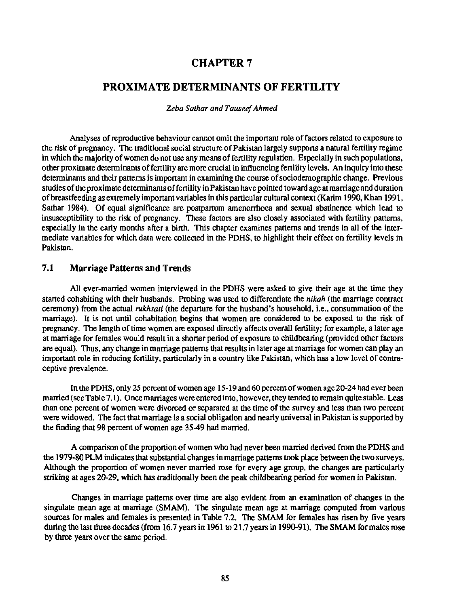# **CHAPTER 7**

## PROXIMATE DETERMINANTS OF FERTILITY

### *Zeba Sathar and Tauseef Ahmed*

Analyses of reproductive behaviour cannot omit the important role of factors related to exposure to the risk of pregnancy. The traditional social structure of Pakistan largely supports a natural fertility regime in which the majority of women do not use any means of fertility regulation. Especially in such populations, other proximate determinants of fertility are more crucial in influencing fertility levels. An inquiry into these determinants and their patterns is important in examining the course of sociodemographic change. Previous studies of the proxim ate determinants of fertility in Pakistan have pointed toward age at marriage and duration ofbreastfeeding as extremely important variables in this particular cultural context (Karim 1990, Khan 1991, Sathar 1984). Of equal significance are postpartum amenorrhoea and sexual abstinence which lead to insusceptibility to the risk of pregnancy. These factors are also closely associated with fertility patterns, especially in the early months after a birth. This chapter examines patterns and trends in all of the intermediate variables for which data were collected in the PDHS, to highlight their effect on fertility levels in Pakistan.

## **7.1 Marriage Patterns and Trends**

All ever-married women interviewed in the PDHS were asked to give their age at the time they started cohabiting with their husbands. Probing was used to differentiate the *nikah* (the marriage contract ceremony) from the actual *rukhsati* (the departure for the husband's household, i.e., consummation of the marriage). It is not until cohabitation begins that women are considered to be exposed to the risk of pregnancy. The length of time women arc exposed directly affects overall fertility; for example, a later age at marriage for females would result in a shorter period of exposure to childbearing (provided other factors arc equal). Thus, any change in marriage patterns that results in later age at marriage for women can play an important role in reducing fertility, particularly in a country like Pakistan, which has a low level of contraceptive prevalence.

In the PDHS, only 25 percent of women age 15-19 and 60 percent of women age 20-24 had ever been married (see Table 7.1). Once marriages were entered into, however, they tended to remain quite stable. Less than one percent of women were divorced or separated at the time of the survey and less than two percent were widowed. The fact that marriage is a social obligation and nearly universal in Pakistan is supported by the finding that 98 percent of women age 35-49 had married.

A comparison of the proportion of women who had never been married derived from the PDHS and the 1979-80 PLM indicates that substantial changes in marriage patterns took place between the two surveys. Although the proportion of women never married rose for every age group, the changes are particularly striking at ages 20-29, which has traditionally been the peak childbearing period for women in Pakistan.

Changes in marriage patterns over time arc also evident from an examination of changes in the singulate mean age at marriage (SMAM). The singulate mean age at marriage computed from various sources for males and females is presented in Table 7.2. The SMAM for females has risen by five years during the last three decades (from 16.7 years in 1961 to 21.7 years in 1990-91). The SMAM for males rose by three years over the same period.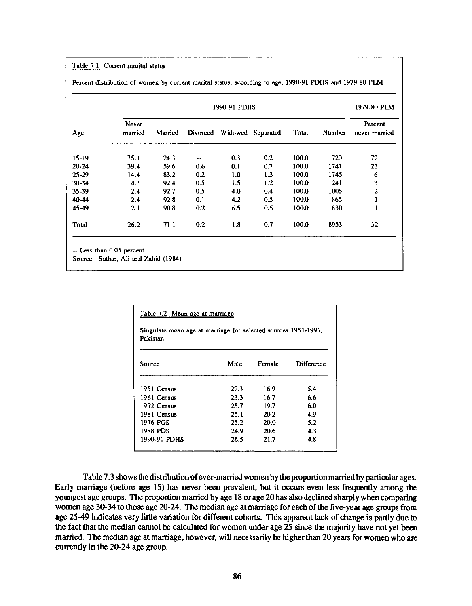#### Table 7.1 Current marital status

Percent distribution of women by current marital status, according to age, 1990-91 PDHS end 1979-80 PLM

|         |                  | 1979-80 PLM |          |         |           |       |        |                          |
|---------|------------------|-------------|----------|---------|-----------|-------|--------|--------------------------|
| Age     | Never<br>married | Married     | Divorced | Widowed | Separated | Total | Number | Percent<br>never married |
| $15-19$ | 75.1             | 24.3        |          | 03      | 0,2       | 100.0 | 1720   | 72                       |
| 20-24   | 39.4             | 59.6        | 0.6      | 0.1     | 0.7       | 100.0 | 1747   | 23                       |
| $25-29$ | 14.4             | 83.2        | 0.2      | 1.0     | 1.3       | 100.0 | 1745   | 6                        |
| 30-34   | 4.3              | 92.4        | 0.5      | 1.5     | 1.2       | 100.0 | 1241   | 3                        |
| 35-39   | 2.4              | 92.7        | 0.5      | 4.0     | 0.4       | 100.0 | 1005   | $\mathbf{2}$             |
| 40-44   | 2.4              | 92.8        | 0.1      | 4.2     | 0.5       | 100.0 | 865    |                          |
| 45-49   | 2.1              | 90.8        | 0.2      | 6.5     | 0.5       | 100.0 | 630    |                          |
| Total   | 26.2             | 71.1        | 0.2      | 1.8     | 0.7       | 100.0 | 8953   | 32                       |

| Table 7.2 Mean age at marriage                                             |      |        |            |
|----------------------------------------------------------------------------|------|--------|------------|
| Singulate mean age at marriage for selected sources 1951-1991,<br>Pakistan |      |        |            |
|                                                                            |      |        |            |
| Source                                                                     | Male | Female | Difference |
| 1951 Census                                                                | 22.3 | 16.9   | 5.4        |
| 1961 Census                                                                | 23.3 | 16.7   | 6.6        |
| 1972 Census                                                                | 25.7 | 19.7   | 60         |
| 1981 Census                                                                | 25.1 | 20.2   | 49         |
| 1976 PGS                                                                   | 25.2 | 20.0   | 5.2        |
| 1988 PDS                                                                   | 24.9 | 20.6   | 4.3        |
| 1990-91 PDHS                                                               | 26.5 | 21.7   | 4.8        |

Table 7.3 shows the distribution of ever-married women by the proportion married by particular ages. Early marriage (before age 15) has never been prevalent, but it occurs even less frequently among the youngest age groups. The proportion married by age 18 or age 20 has also declined sharply when comparing women age 30-34 to those age 20-24. The median age at marriage for each of the five-year age groups from age 25-49 indicates very little variation for different cohorts. This apparent lack of change is partly due to the fact that the median cannot be calculated for women under age 25 since the majority have not yet been married. The median age at marriage, however, wiU necessarily be higher than 20 years for women who arc currently in the 20-24 age group.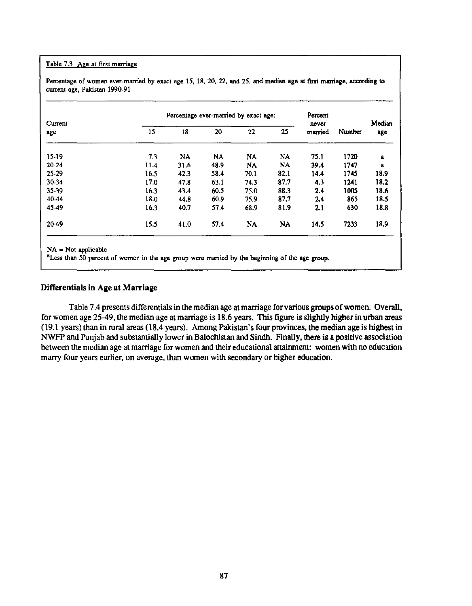## Table 7.3 Age at first marriage

| Current   |      |      | Percentage ever-married by exact age: |           |           | Percent<br>never |        | Median |
|-----------|------|------|---------------------------------------|-----------|-----------|------------------|--------|--------|
| age       | 15   | 18   | 20                                    | 22        | 25        | married          | Number | age    |
| $15-19$   | 7.3  | NA.  | <b>NA</b>                             | NA        | <b>NA</b> | 75.1             | 1720   | а      |
| $20 - 24$ | 11.4 | 31.6 | 48.9                                  | <b>ΝΑ</b> | NA        | 39.4             | 1747   | a      |
| 25-29     | 16.5 | 42.3 | 58.4                                  | 70.1      | 82.1      | 14.4             | 1745   | 18.9   |
| 30-34     | 17.0 | 47.8 | 63.1                                  | 74.3      | 87.7      | 4.3              | 1241   | 18.2   |
| 35-39     | 16.3 | 43.4 | 60.5                                  | 75.0      | 88.3      | 2.4              | 1005   | 18.6   |
| 40-44     | 18.0 | 44.8 | 60.9                                  | 75.9      | 87,7      | 2.4              | 865    | 18.5   |
| 45-49     | 16.3 | 40.7 | 57.4                                  | 68.9      | 81.9      | 2.1              | 630    | 18.8   |
| 20-49     | 15.5 | 41.0 | 57.4                                  | NA.       | <b>NA</b> | 14.5             | 7233   | 18.9   |

Percentage of women ever-married by exact age 15, 18, 20, 22, and 25, and median age at first marriage, according to current age, Pakistan 1990-91

 $NA = Not applicable$ 

<sup>a</sup>Less than 50 percent of women in the age group were married by the beginning of the age group.

### Differentials in Age at Marriage

Table 7.4 presents differentials in the median age at marriage for various groups of women. Overall, for women age 25-49, the median age at marriage is 18.6 years. This figure is slightly higher in urban areas (19.1 years) than in rural areas (18.4 years). Among Pakistan's four provinces, the median age is highest in NWFP and Punjab and substantially lower in Baloehistan and Sindh. Finally, there is a positive association between the median age at marriage for women and their educational attainment: women with no education marry four years earlier, on average, than women with secondary or higher education.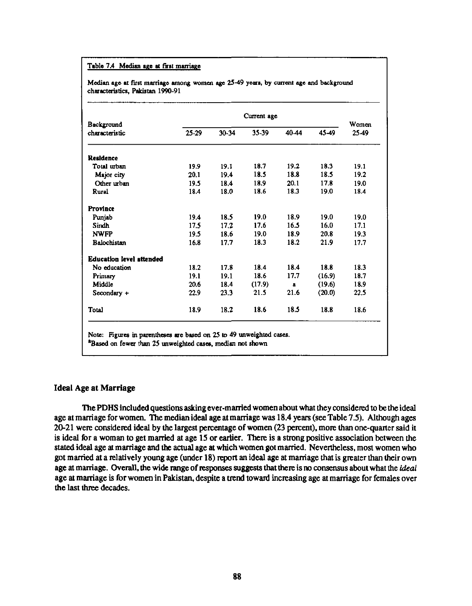#### **Table 7.4 Median age at first nmrriage**

**Median age at first marriage among woman age 25-49 years, by current age and background chasacteristics, Pakistan 1990-91** 

|                                 | Current age |           |        |              |        |               |  |  |
|---------------------------------|-------------|-----------|--------|--------------|--------|---------------|--|--|
| Background<br>characteristic    | 25-29       | $30 - 34$ | 35-39  | 40-44        | 45-49  | Women<br>2549 |  |  |
| <b>Residence</b>                |             |           |        |              |        |               |  |  |
| Total urban                     | 19.9        | 19.1      | 18.7   | 19.2         | 18.3   | 19.1          |  |  |
| Major city                      | 20.1        | 19.4      | 18.5   | 18.8         | 18.5   | 19.2          |  |  |
| Other urban                     | 19.5        | 18.4      | 18.9   | 20.1         | 17.8   | 19.0          |  |  |
| Rural                           | 18.4        | 18.0      | 18.6   | 18.3         | 19.0   | 18.4          |  |  |
| <b>Province</b>                 |             |           |        |              |        |               |  |  |
| Puniab                          | 19.4        | 18.5      | 19.0   | 18.9         | 19.0   | 19.0          |  |  |
| Sindh                           | 17.5        | 17.2      | 17.6   | 16.5         | 16.0   | 17.1          |  |  |
| <b>NWFP</b>                     | 19.5        | 18.6      | 19.0   | 18.9         | 20.8   | 19.3          |  |  |
| <b>Balochistan</b>              | 16.8        | 17.7      | 18.3   | 18.2         | 21.9   | 17.7          |  |  |
| <b>Education level attended</b> |             |           |        |              |        |               |  |  |
| No education                    | 18.2        | 17.8      | 18.4   | 18.4         | 18.8   | 18.3          |  |  |
| Primary                         | 19.1        | 19.1      | 18.6   | 17.7         | (16.9) | 18.7          |  |  |
| Middle                          | 20.6        | 18.4      | (17.9) | $\mathbf{a}$ | (19.6) | 18.9          |  |  |
| Secondary +                     | 22.9        | 23.3      | 21.5   | 21.6         | (20.0) | 22.5          |  |  |
| Total                           | 18.9        | 18.2      | 18.6   | 18.5         | 18.8   | 18.6          |  |  |

### **Ideal Age at Marriage**

**The PDHS included questions asking ever-married women about what they considered to be the ideal age at marriage for women. The median ideal age at marriage was 18.4 years (see Table 7.5). Although ages 20-21 were considered ideal by the largest percentage of women (23 percent), more than one-quarter said it is ideal for a woman to get married at age 15 or earlier. There is a strong positive association between the stated ideal age at marriage and the actual age at which women got married. Nevertheless, most women who got married at a relatively young age (under 18) report an ideal age at marriage that is greater than their own age at marriage. Overall, the wide range of responses suggests that there is no consensus about what the** *ideal*  **age at marriage is for women in Pakistan, despite a trend toward increasing age at marriage for females over the last three decades.**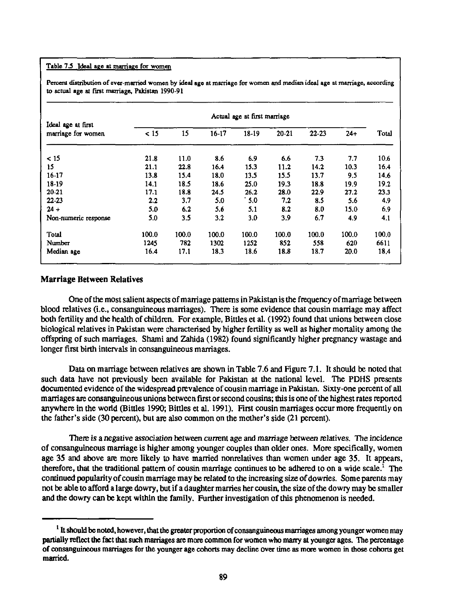## Table 7.5 Ideal age at marriage for women

Percent distribution of ever-married women by ideal age at marriage for women and median ideal age at marriage, according to actual age at first marriage, Pakistan 1990-91

|                                          | Actual age at first marriage |       |           |       |           |           |       |       |
|------------------------------------------|------------------------------|-------|-----------|-------|-----------|-----------|-------|-------|
| Ideal age at first<br>marriage for women | $<$ 15                       | 15    | $16 - 17$ | 18-19 | $20 - 21$ | $22 - 23$ | $24+$ | Toul  |
| < 15                                     | 21.8                         | 11.0  | 8.6       | 6.9   | 6.6       | 7.3       | 7.7   | 10.6  |
| 15                                       | 21.1                         | 22.8  | 16.4      | 15.3  | 11.2      | 14.2      | 10.3  | 16.4  |
| $16-17$                                  | 13.8                         | 15.4  | 18.0      | 13.5  | 15.5      | 13.7      | 9.5   | 14.6  |
| 18-19                                    | 14.1                         | 18.5  | 18.6      | 25.0  | 19.3      | 18.8      | 19.9  | 19.2  |
| 20-21                                    | 17.1                         | 18.8  | 24.5      | 26.2  | 28.0      | 22.9      | 27.2  | 23.3  |
| 22-23                                    | 2.2                          | 3.7   | 5.0       | 5.0   | 7.2       | 8.5       | 5.6   | 4.9   |
| $24 +$                                   | 5.0                          | 6.2   | 5.6       | 5.1   | 8.2       | 8.0       | 15.0  | 6.9   |
| Non-numeric response                     | 5.0                          | 3.5   | 3.2       | 3.0   | 3.9       | 6.7       | 4.9   | 4.1   |
| <b>Total</b>                             | 100.0                        | 100.0 | 100.0     | 100.0 | 100.0     | 100.0     | 100.0 | 100.0 |
| Number                                   | 1245                         | 782   | 1302      | 1252  | 852       | 558       | 620   | 6611  |
| Median age                               | 16.4                         | 17.1  | 18.3      | 18.6  | 18.8      | 18.7      | 20.0  | 18.4  |

## **Marriage Between Relatives**

One of the most salient aspects of marriage patterns in Pakistan is the frequency of marriage between blood relatives (i.e., consanguineous marriages). There is some evidence that cousin marriage may affect both fertility and the health of children. For example, Bittles et al. (1992) found that unions between close biological relatives in Pakistan were characterised by higher fertility as well as higher mortality among the offspring of such marriages. Shami and Zabida (1982) found significantly higher pregnancy wastage and longer first birth intervals in consanguineous marriages.

Data on marriage between relatives are shown in Table 7.6 and Figure 7.1. It should be noted that such data have not previously been available for Pakistan at the national level. The PDHS presents documented evidence of the widespread prevalence of cousin marriage in Pakistan. Sixty-one percent of all marriages are consanguineous unions between first or second cousins; this is one of the highest rates reported anywhere in the world (Bittles 1990; Bittles et al. 1991). First cousin marriages occur more frequently on the father's side (30 percent), but are also common on the mother's side (21 percent).

There is a negative association between current age and marriage between relatives. The incidence of consanguineous marriage is higher among younger couples than older ones. More specifically, women age 35 and above are more likely to have married nonrelatives than women under age 35. It appears, therefore, that the traditional pattern of cousin marriage continues to be adhered to on a wide scale.<sup>1</sup> The continued popularity of cousin marriage may be related to the increasing size of dowries. Some parents may not be able to afford a large dowry, but if a daughter marries her cousin, the size of the dowry may be smaller and the dowry can be kept within the family. Further investigation of this phenomenon is needed.

 $<sup>1</sup>$  It should be noted, however, that the greater proportion of consanguineous marriages among younger women may</sup> partially reflect the fact that such marriages are more common for women who marry at younger ages. The percentage **of** consanguineous maniages for the younger age cohorts may decline over time as more women in those cohorts get married.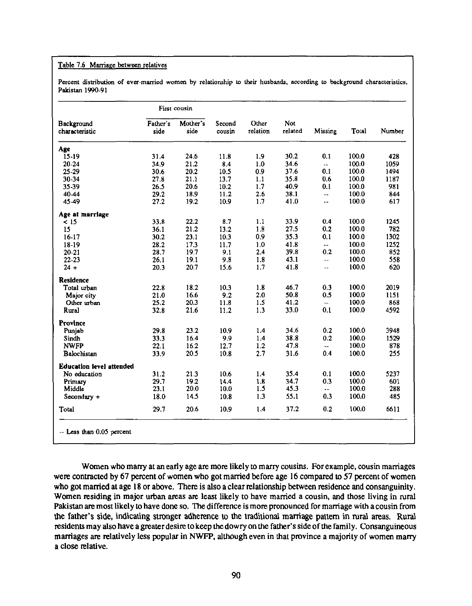#### Table 7.6 Marriage between relatives

Percent distribution of ever-married women by relationship to their husbands, according to background characteristics, Pakistan 1990-91

|                                 |                  | First cousin     |                  |                   |                |                          |       |        |
|---------------------------------|------------------|------------------|------------------|-------------------|----------------|--------------------------|-------|--------|
| Background<br>characteristic    | Father's<br>side | Mother's<br>side | Second<br>cousin | Other<br>relation | Not<br>related | Missing                  | Total | Number |
| Age                             |                  |                  |                  |                   |                |                          |       |        |
| $15-19$                         | 31.4             | 24.6             | 11.8             | 1.9               | 30.2           | 0.1                      | 100.0 | 428    |
| 20-24                           | 34.9             | 21.2             | 84               | 1.0               | 34.6           | $\ddot{\phantom{0}}$     | 100.0 | 1059   |
| $25-29$                         | 30.6             | 20.2             | 10.5             | 0.9               | 37.6           | 0.1                      | 100.0 | 1494   |
| 30-34                           | 27.8             | 21.1             | 13.7             | 1.1               | 35.8           | 0.6                      | 100.0 | 1187   |
| 35-39                           | 26.5             | 20.6             | 10.2             | 1.7               | 40.9           | 0.1                      | 100.0 | 981    |
| 40-44                           | 29.2             | 18.9             | 11.2             | 2.6               | 38.1           | $-1$                     | 100.0 | 844    |
| 45-49                           | 27.2             | 19.2             | 10.9             | 1.7               | 41.0           |                          | 100.0 | 617    |
| Age at marriage                 |                  |                  |                  |                   |                |                          |       |        |
| < 15                            | 33.8             | 22.2             | 8.7              | 1.1               | 33.9           | 0.4                      | 100.0 | 1245   |
| 15                              | 36.1             | 21.2             | 13.2             | 1.8               | 27.5           | 0.2                      | 100,0 | 782    |
| $16-17$                         | 30.2             | 23.1             | 10.3             | 0.9               | 35.3           | 0.1                      | 100.0 | 1302   |
| 18-19                           | 28.2             | 17.3             | 11.7             | 1.0               | 418            | ÷÷.                      | 100.0 | 1252   |
| 20-21                           | 28.7             | 19.7             | 9.1              | 2.4               | 39.8           | 0.2                      | 100.0 | 852    |
| 22-23                           | 26.1             | 19.1             | 9.8              | 1.8               | 43.1           | Щ.                       | 100.0 | 558    |
| $24 +$                          | 20.3             | 20.7             | 15.6             | 1.7               | 41.8           | $\overline{\phantom{a}}$ | 100.0 | 620    |
| Residence                       |                  |                  |                  |                   |                |                          |       |        |
| Total urban                     | 22.8             | 18.2             | 10.3             | 1.8               | 46.7           | 0.3                      | 100.0 | 2019   |
| Major city                      | 21.0             | 16.6             | 9.2              | 2.0               | 50.8           | 0.5                      | 100.0 | 1151   |
| Otherurban                      | 25.2             | 20.3             | 11.8             | 1.5               | 41.2           | $\rightarrow$            | 100.0 | 868    |
| Rural                           | 32.8             | 21.6             | 11.2             | 1.3               | 33.0           | 0.1                      | 100.0 | 4592   |
| Province                        |                  |                  |                  |                   |                |                          |       |        |
| Punjab                          | 29.8             | 23.2             | 10.9             | 1.4               | 34.6           | 0.2                      | 100.0 | 3948   |
| Sindh                           | 33.3             | 16.4             | 9.9              | 1.4               | 38.8           | 0.2                      | 100.0 | 1529   |
| <b>NWFP</b>                     | 22.1             | 16.2             | 12.7             | 1.2               | 47.8           | ω.                       | 100.0 | 878    |
| <b>Balochistan</b>              | 33.9             | 20.5             | 10.8             | 2.7               | 31.6           | 0.4                      | 100.0 | 255    |
| <b>Education level attended</b> |                  |                  |                  |                   |                |                          |       |        |
| No education                    | 31.2             | 21.3             | 10.6             | 1.4               | 35.4           | 0.1                      | 100.0 | 5237   |
| Primary                         | 29.7             | 19.2             | 14.4             | 1.8               | 34.7           | 0.3                      | 100.0 | 601    |
| Middle                          | 23.1             | 20.0             | 10.0             | 1.5               | 45.3           | ٠.                       | 100.0 | 288    |
| Secondary $+$                   | 18.0             | 14.5             | 10.8             | 1.3               | 55.1           | 0.3                      | 100.0 | 485    |
| Total                           | 29.7             | 20.6             | 10.9             | 1.4               | 37.2           | 0.2                      | 100.0 | 6611   |

Women who marry at an early age are more likely to marry cousins. For example, cousin marriages were contracted by 67 percent of women who got married before age 16 compared to 57 percent of women who got married at age 18 or above. There is also a clear relationship between residence and consanguinity. Women residing in major urban areas are least likely to have married a cousin, and those living in rural Pakistan are most likely to have done so. The difference is more pronounced for marriage with a cousin from the father's side, indicating stronger adherence to the traditional marriage pattern in rural areas. Rural residents may also have a greater desire to keep the dowry on the father's side of the family. Consanguineous marriages are relatively less popular in NWFP, although even in that province a majority of women marry a close relative.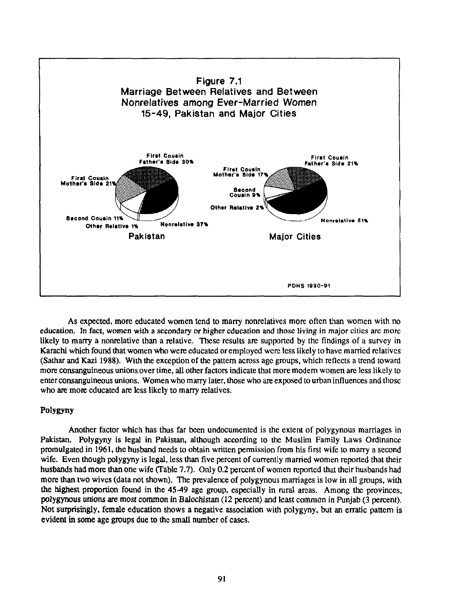

As expected, more educated women tend to marry nonrelatives more often than women with no education. In fact, women with a secondary or higher education and those living in major cities are more likely to marry a nonrelative than a relative. These results are supported by the findings of a survey in Karachi which found that women who were educated or employed were less likely to have married relatives (Sathar and Kazi 1988). With the exception of the pattern across age groups, which reflects a trend toward more consanguineous unions over time, all other factors indicate that more modem women are less likely to enter consanguineous unions. Women who marry later, those who are exposed to urban influences and those who are more educated are less likely to marry relatives.

## **Polygyny**

Another factor which has thus far been undocumented is the extent of polygynous marriages in Pakistan. Polygyny is legal in Pakistan, although according to the Muslim Family Laws Ordinance promulgated in 1961, the husband needs to obtain written permission from his first wife to marry a second wife. Even though polygyny is legal, less than five percent of currently married women reported that their husbands had more than one wife (Table 7.7). Only 0.2 percent of women reported that their husbands had more than two wives (data not shown). The prevalence of polygynous marriages is low in all groups, with the highest proportion found in the 45-49 age group, especially in rural areas. Among the provinces, polygynous unions are most common in Balochistan (12 percent) and least common in Punjab (3 percent). Not surprisingly, female education shows a negative association with polygyny, but an erratic pattern is evident in some age groups due to the small number of cases.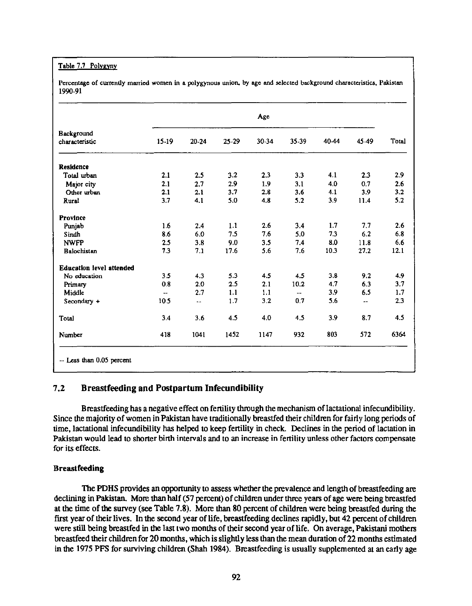#### **Table 7.7 Polygyny**

**Percentage of em'rently married women** in a **polygynuns union, by age and selected background characteristics, Pakistan**  1990-91

|                                 | Age                      |           |       |       |        |       |                |       |
|---------------------------------|--------------------------|-----------|-------|-------|--------|-------|----------------|-------|
| Background<br>characteristic    | 15-19                    | $20 - 24$ | 25-29 | 30 34 | 35-39  | 40-44 | 45-49          | Total |
| <b>Residence</b>                |                          |           |       |       |        |       |                |       |
| Total urban                     | 2.1                      | 2.5       | 3.2   | 2.3   | 3.3    | 4.1   | 2.3            | 2.9   |
| Major city                      | 2.1                      | 2.7       | 2.9   | 1.9   | 3.1    | 4.0   | 0.7            | 2.6   |
| Other urban                     | 2.1                      | 2.1       | 3.7   | 2.8   | 3.6    | 4.1   | 3.9            | 3.2   |
| Rural                           | 3.7                      | 4.1       | 5.0   | 4.8   | 5.2    | 3.9   | 11.4           | 5.2   |
| Province                        |                          |           |       |       |        |       |                |       |
| Punjab                          | 1.6                      | 2.4       | 1.1   | 2.6   | 3.4    | 1.7   | 7.7            | 2.6   |
| Sindh                           | 8.6                      | 6.0       | 7.5   | 7.6   | 5.0    | 7.3   | 6.2            | 6.8   |
| <b>NWFP</b>                     | 2.5                      | 3.8       | 9.0   | 3.5   | 7.4    | 8.0   | 11.8           | 6.6   |
| Balochistan                     | 7.3                      | 7.1       | 17.6  | 5.6   | 7.6    | 10.3  | 27.2           | 12.1  |
| <b>Education level attended</b> |                          |           |       |       |        |       |                |       |
| No education                    | 3.5                      | 4.3       | 5.3   | 4.5   | 4.5    | 3.8   | 9.2            | 4.9   |
| Primary                         | 0.8                      | 2.0       | 2.5   | 2.1   | 10.2   | 4.7   | 6.3            | 3.7   |
| Middle                          | $\overline{\phantom{a}}$ | 2.7       | 1.1   | 1.1   | $\sim$ | 3.9   | 6.5            | 1.7   |
| Secondary +                     | 10.5                     | шü        | 1.7   | 3.2   | 0.7    | 5.6   | $\overline{a}$ | 2.3   |
| Total                           | 3.4                      | 3.6       | 4.5   | 4.0   | 4.5    | 3.9   | 8.7            | 4.5   |
| Number                          | 418                      | 1041      | 1452  | 1147  | 932    | 803   | 572            | 6364  |

## **7.2 Breastfeeding and Postpartum Infecundibility**

**Breastfeeding has a negative effect on fertility through the mechanisrn of lactational infecundibility. Since the majority of women in Pakistan have traditionally breasffed their children for fairly long periods of time, lactational infecundibility has helped to keep fertility in check. Declines in the period of lactation in Pakistan would lead to shorter birth intervals and to an increase in fertility unless other factors compensate for its effects.** 

## **Brenstfeeding**

The PDHS provides an opportunity to assess whether the prevalence and length of breastfeeding are **declining in Pakistan. More than half (57 percent) of children under three years of age were being breasffed at the time of the survey (see Table 7.8). More than 80 percent of children were being breastfed during the first year of their lives. In the second year of life, breastfeeding declines rapidly, but 42 percent of children were still being breastfed in the last two months of their second year of life, On average, Pakistani mothers breasffeed their children for 20 months, which is slightly less than the mean duration of 22 months estimated**  in the 1975 PFS for surviving children (Shah 1984). Breastfeeding is usually supplemented at an early age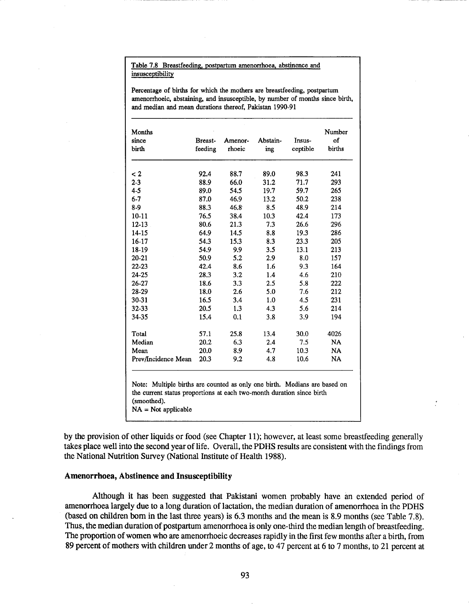#### Table 7.8 Breastfeeding, postpartum amenorrhoea, abstinence and insusceptibility

Percentage of births for which the mothers are breastfeeding, postpartum amenorrhoeic, abstaining, and insusceptible, by number of months since birth, and median and mean durations thereof, Pakistan 1990-91

| Months<br>since<br>birth | Breast-<br>feeding | Amenor-<br>rhoeic | Abstain-<br>ing | Insus-<br>ceptible | Number<br>of<br>births |
|--------------------------|--------------------|-------------------|-----------------|--------------------|------------------------|
| $\lt 2$                  | 92.4               | 88.7              | 89.0            | 98.3               | 241                    |
| $2 - 3$                  | 88.9               | 66.0              | 31.2            | 71.7               | 293                    |
| $4-5$                    | 89.0               | 54.5              | 19.7            | 59.7               | 265                    |
| $6-7$                    | 87.0               | 46.9              | 13.2            | 50.2               | 238                    |
| $8-9$                    | 88.3               | 46.8              | 8.5             | 48.9               | 214                    |
| $10 - 11$                | 76.5               | 38.4              | 10.3            | 42.4               | 173                    |
| $12 - 13$                | 80.6               | 21.3              | 7.3             | 26.6               | 296                    |
| 14-15                    | 64.9               | 14.5              | 8.8             | 19.3               | 286                    |
| 16-17                    | 54.3               | 15.3              | 8.3             | 23.3               | 205                    |
| 18-19                    | 54.9               | 9.9               | 3.5             | 13.1               | 213                    |
| $20 - 21$                | 50.9               | 5.2               | 2.9             | 8.0                | 157                    |
| 22-23                    | 42.4               | 8.6               | 1.6             | 9.3                | 164                    |
| 24-25                    | 28.3               | 3.2               | 1.4             | 4.6                | 210                    |
| $26 - 27$                | 18.6               | 3.3               | 2.5             | 5.8                | 222                    |
| 28-29                    | 18.0               | 2.6               | 5.0             | 7.6                | 212                    |
| 30-31                    | 16.5               | 3.4               | 1.0             | 4.5                | 231                    |
| 32-33                    | 20.5               | 1.3               | 4.3             | 5.6                | 214                    |
| 34-35                    | 15.4               | 0.1               | 3.8             | 3.9                | 194                    |
| Total                    | 57.1               | 25.8              | 13.4            | 30.0               | 4026                   |
| Median                   | 20.2               | 6.3               | 2.4             | 7.5                | NA                     |
| Mean                     | 20.0               | 8.9               | 4.7             | 10.3               | NA                     |
| Prev/Incidence Mean      | 20.3               | 9.2               | 4.8             | 10.6               | NA                     |

(smoothed).

 $NA = Not applicable$ 

by the provision of other liquids or food (see Chapter 11); however, at least some breastfeeding generally takes place well into the second year of life. Overall, the PDHS results are consistent with the findings from the National Nutrition Survey (National Institute of Health 1988).

### Amenorrhoea, Abstinence and Insusceptibility

Although it has been suggested that Pakistani women probably have an extended period of amenorrhoea largely due to a long duration of lactation, the median duration of amenorrhoea in the PDHS (based on children born in the last three years) is 6.3 months and the mean is 8.9 months (see Table 7.8). Thus, the median duration of postpartum amenorrhoea is only one-third the median length of breastfeeding. The proportion of women who are amenorrhoeic decreases rapidly in the first few months after a birth, from 89 percent of mothers with children under 2 months of age, to 47 percent at 6 to 7 months, to 21 percent at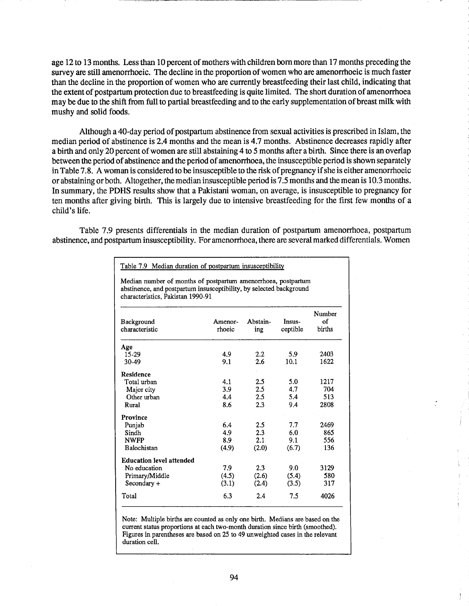age 12 to 13 months. Less than 10 percent of mothers with children born more than 17 months preceding the survey are still amenorrhoeic. The decline in the proportion of women who are amenorrhoeic is much faster than the decline in the proportion of women who are currently breastfeeding their last child, indicating that the extent of postpartum protection due to breastfeeding is quite limited. The short duration of amenorrhoea may be due to the shift from full to partial breastfeeding and to the early supplementation of breast milk with mushy and solid foods.

Although a 40-day period of postpartum abstinence from sexual activities is prescribed in Islam, the median period of abstinence is 2.4 months and the mean is 4.7 months. Abstinence decreases rapidly after a birth and only 20 percent of women are still abstaining 4 to 5 months after a birth. Since there is an overlap between the period of abstinence and the period of amenorrhoea, the insusceptible period is shown separately in Table 7.8. A woman is considered to be insusceptible to the risk of pregnancy if she is either amenorrhoeic or abstaining or both. Altogether, the median insusceptible period is 7.5 months and the mean is 10.3 months. In summary, the PDHS results show that a Pakistani woman, on average, is insusceptible to pregnancy for ten months after giving birth. This is largely due to intensive breastfeeding for the first few months of a child's life.

Table 7.9 presents differentials in the median duration of postpartum amenorrhoea, postpartum abstinence, and postpartum insusceptibility. For amenorrhoea, there are several marked differentials. Women

Table 7.9 Median duration of postpartum insusceptibility

Median number of months of postpartum amenorrhoea, postpartum abstinence, and postpartum insusceptibility, by selected background characteristics, Pakistan 1990-91

| Background<br>characteristic    | Amenor-<br>rhoeic | Abstain-<br>ing | Insus-<br>ceptible | Number<br>of<br>births |
|---------------------------------|-------------------|-----------------|--------------------|------------------------|
| Age                             |                   |                 |                    |                        |
| 15-29                           | 4.9               | $2.2\,$         | 5.9                | 2403                   |
| 30-49                           | 9.1               | 2.6             | 10.1               | 1622                   |
| <b>Residence</b>                |                   |                 |                    |                        |
| Total urban                     | 4.1               | 2.5             | 5.0                | 1217                   |
| Major city                      | 3.9               | 2.5             | 4.7                | 704                    |
| Other urban                     | 4.4               | 2.5             | 54                 | 513                    |
| Rural                           | 8.6               | 2.3             | 9.4                | 2808                   |
| Province                        |                   |                 |                    |                        |
| Punjab                          | 6.4               | 2.5             | 7.7                | 2469                   |
| Sindh                           | 4.9               | 2.3             | 6.0                | 865                    |
| <b>NWFP</b>                     | 8.9               | 2.1             | 9.1                | 556                    |
| Balochistan                     | (4.9)             | (2.0)           | (6.7)              | 136                    |
| <b>Education level attended</b> |                   |                 |                    |                        |
| No education                    | 7.9               | 2.3             | 9.0                | 3129                   |
| Primary/Middle                  | (4.5)             | (2.6)           | (5.4)              | 580                    |
| Secondary +                     | (3.1)             | (2.4)           | (3.5)              | 317                    |
| Total                           | 6.3               | 2.4             | 7.5                | 4026                   |

Note: Multiple births are counted as only one birth. Medians are based on the current status proportions at each two-month duration since birth (smoothed). Figures in parentheses are based on 25 to 49 unweighted cases in the relevant duration cell.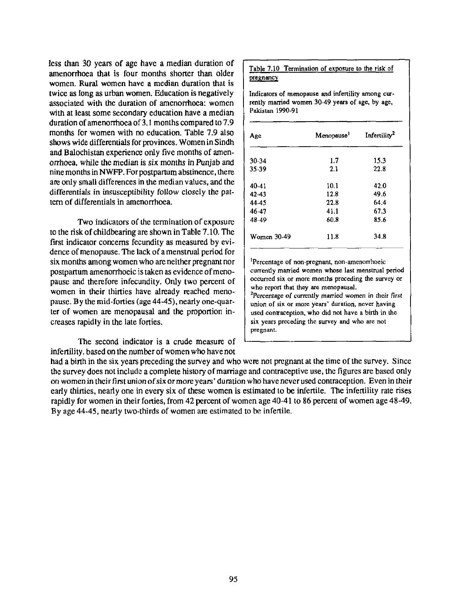less than 30 years of age have a median duration of amenorrhoea that is four months shorter than older women. Rural women have a median duration that is twice as long as urban women. Education is negatively associated with the duration of amenorrhoea: women with at least some secondary education have a median duration of amenorrhoea of 3.1 months compared to 7.9 months for women with no education. Table 7.9 also shows wide differentials for provinces. Women in Sindh and Balochistan experience only five months of amenorrhoea, while the median is six months in Punjab and nine months in NWFP. For postpartum abstinence, there are only small differences in the median values, and the differentials in insusceptibility follow closely the paltern of differentials in amenorrhoea.

Two indicators of the termination of exposure to the risk of childbearing are shown in Table 7.10. The first indicator concerns fecundity as measured by evidence of menopause. The lack of a menstrual period for six months among women who are neither pregnant nor postpartum amenorrhoeic is taken as evidence of menopause and therefore infecundity. Only two percent of women in their thirties have already reached menopause. By the mid-forties (age 44-45), nearly one-quarter of women are menopausal and the proportion increases rapidly in the late forties.

The second indicator is a crude measure of infertility, based on the number of women who have not

## Table 7.10 Termination of exposure to the risk of pregnancy

Indicators of menopause and infertility among currently married women 30-49 years of age, by age, Pakistan 1990-91

| Age         | Menopause <sup>1</sup> | Infertility <sup>2</sup> |  |  |
|-------------|------------------------|--------------------------|--|--|
| 30-34       | 1.7                    | 15.3                     |  |  |
| 35-39       | 2.1                    | 22.8                     |  |  |
| $40-41$     | 10.1                   | 42.0                     |  |  |
| $42 - 43$   | 12.8                   | 49.6                     |  |  |
| 44-45       | 22.8                   | 64.4                     |  |  |
| 46-47       | 41.1                   | 67.3                     |  |  |
| 48-49       | 60.8                   | 85.6                     |  |  |
| Women 30-49 | 11.8                   | 34.8                     |  |  |

1Percentage of non-pregnant, non-amenorrhoeic currently married women whose last menstrual period occurred six or more months preceding the survey or who report that they are menopausal.

2Percentage of *currently* married women in their *first*  union of six or more years' duration, never having used contraception, who did not have a birth in the six years preceding the survey and who are not pregnant.

had a birth in the six years preceding the survey and who were not pregnant at the time of the survey. Since the survey does not include a complete history of marriage and contraceptive use, the figures are based only on women in their first *union* of six or more years' duration who have never used contraception. Even in their early thirties, nearly one in every six of these women is estimated to be infertile. The infertility rate rises rapidly for women in their forties, from 42 percent of women age 40-41 to 86 percent of women age 48-49. By age 44-45, nearly two-thirds of women are estimated to be infertile.